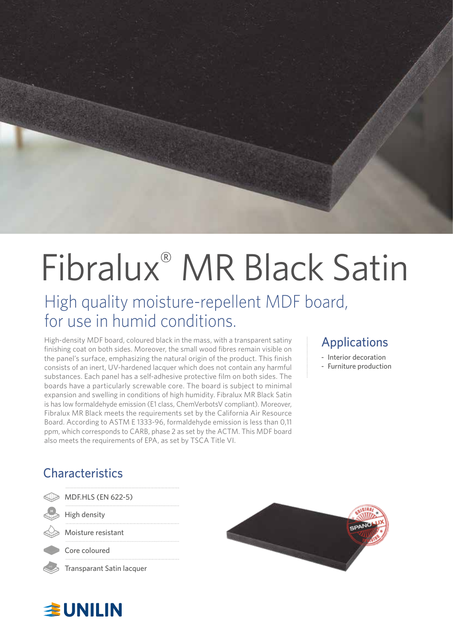

# Fibralux® MR Black Satin

## High quality moisture-repellent MDF board, for use in humid conditions.

High-density MDF board, coloured black in the mass, with a transparent satiny finishing coat on both sides. Moreover, the small wood fibres remain visible on the panel's surface, emphasizing the natural origin of the product. This finish consists of an inert, UV-hardened lacquer which does not contain any harmful substances. Each panel has a self-adhesive protective film on both sides. The boards have a particularly screwable core. The board is subject to minimal expansion and swelling in conditions of high humidity. Fibralux MR Black Satin is has low formaldehyde emission (E1 class, ChemVerbotsV compliant). Moreover, Fibralux MR Black meets the requirements set by the California Air Resource Board. According to ASTM E 1333-96, formaldehyde emission is less than 0,11 ppm, which corresponds to CARB, phase 2 as set by the ACTM. This MDF board also meets the requirements of EPA, as set by TSCA Title VI.

#### Applications

- Interior decoration
- Furniture production

### **Characteristics**

| MDF.HLS (EN 622-5)        |  |
|---------------------------|--|
| High density              |  |
| Moisture resistant        |  |
| Core coloured             |  |
| Transparant Satin lacquer |  |

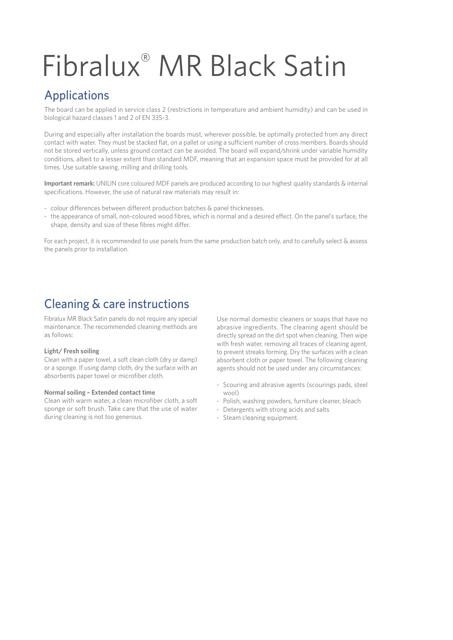## Fibralux® MR Black Satin

#### Applications

The board can be applied in service class 2 (restrictions in temperature and ambient humidity) and can be used in biological hazard classes 1 and 2 of EN 335-3.

During and especially after installation the boards must, wherever possible, be optimally protected from any direct contact with water. They must be stacked flat, on a pallet or using a sufficient number of cross members. Boards should not be stored vertically, unless ground contact can be avoided. The board will expand/shrink under variable humidity conditions, albeit to a lesser extent than standard MDF, meaning that an expansion space must be provided for at all times. Use suitable sawing, milling and drilling tools.

**Important remark:** UNILIN core coloured MDF panels are produced according to our highest quality standards & internal specifications. However, the use of natural raw materials may result in:

- colour differences between different production batches & panel thicknesses.
- the appearance of small, non-coloured wood fibres, which is normal and a desired effect. On the panel's surface, the shape, density and size of these fibres might differ.

For each project, it is recommended to use panels from the same production batch only, and to carefully select & assess the panels prior to installation.

#### Cleaning & care instructions

Fibralux MR Black Satin panels do not require any special maintenance. The recommended cleaning methods are as follows:

#### **Light/ Fresh soiling**

Clean with a paper towel, a soft clean cloth (dry or damp) or a sponge. If using damp cloth, dry the surface with an absorbents paper towel or microfiber cloth.

#### **Normal soiling – Extended contact time**

Clean with warm water, a clean microfiber cloth, a soft sponge or soft brush. Take care that the use of water during cleaning is not too generous.

Use normal domestic cleaners or soaps that have no abrasive ingredients. The cleaning agent should be directly spread on the dirt spot when cleaning. Then wipe with fresh water, removing all traces of cleaning agent, to prevent streaks forming. Dry the surfaces with a clean absorbent cloth or paper towel. The following cleaning agents should not be used under any circumstances:

- Scouring and abrasive agents (scourings pads, steel wool)
- Polish, washing powders, furniture cleaner, bleach
- Detergents with strong acids and salts
- Steam cleaning equipment.